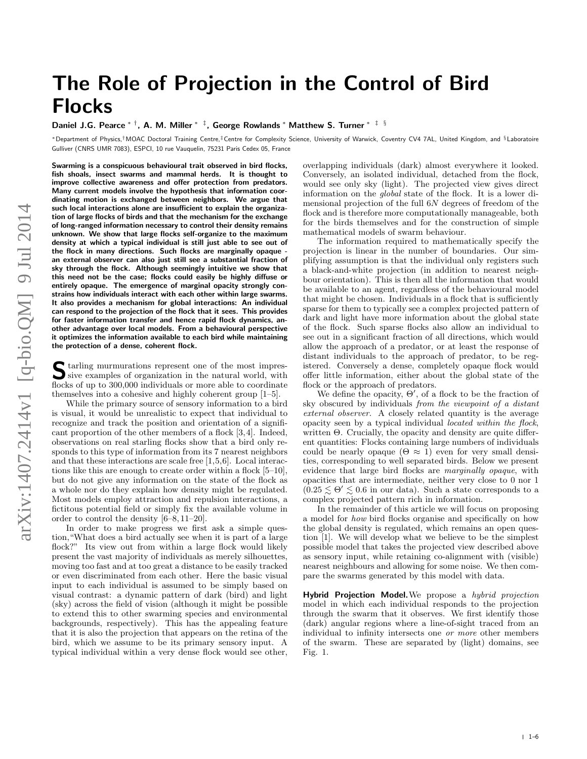## The Role of Projection in the Control of Bird Flocks

Daniel J.G. Pearce \*  $\dagger$ , A. M. Miller  $*$   $\ddagger$ , George Rowlands  $*$  Matthew S. Turner  $*$   $\ddagger$   $\S$ 

<sup>∗</sup>Department of Physics,†MOAC Doctoral Training Centre,‡Centre for Complexity Science, University of Warwick, Coventry CV4 7AL, United Kingdom, and §Laboratoire Gulliver (CNRS UMR 7083), ESPCI, 10 rue Vauquelin, 75231 Paris Cedex 05, France

Swarming is a conspicuous behavioural trait observed in bird flocks, fish shoals, insect swarms and mammal herds. It is thought to improve collective awareness and offer protection from predators. Many current models involve the hypothesis that information coordinating motion is exchanged between neighbors. We argue that such local interactions alone are insufficient to explain the organization of large flocks of birds and that the mechanism for the exchange of long-ranged information necessary to control their density remains unknown. We show that large flocks self-organize to the maximum density at which a typical individual is still just able to see out of the flock in many directions. Such flocks are marginally opaque an external observer can also just still see a substantial fraction of sky through the flock. Although seemingly intuitive we show that this need not be the case; flocks could easily be highly diffuse or entirely opaque. The emergence of marginal opacity strongly constrains how individuals interact with each other within large swarms. It also provides a mechanism for global interactions: An individual can respond to the projection of the flock that it sees. This provides for faster information transfer and hence rapid flock dynamics, another advantage over local models. From a behavioural perspective it optimizes the information available to each bird while maintaining the protection of a dense, coherent flock.

 $\sum$  tarling murmurations represent one of the most impressive examples of organization in the natural world, with sive examples of organization in the natural world, with flocks of up to 300,000 individuals or more able to coordinate themselves into a cohesive and highly coherent group [1–5].

While the primary source of sensory information to a bird is visual, it would be unrealistic to expect that individual to recognize and track the position and orientation of a significant proportion of the other members of a flock [3,4]. Indeed, observations on real starling flocks show that a bird only responds to this type of information from its 7 nearest neighbors and that these interactions are scale free [1,5,6]. Local interactions like this are enough to create order within a flock [5–10], but do not give any information on the state of the flock as a whole nor do they explain how density might be regulated. Most models employ attraction and repulsion interactions, a fictitous potential field or simply fix the available volume in order to control the density [6–8, 11–20].

In order to make progress we first ask a simple question,"What does a bird actually see when it is part of a large flock?" Its view out from within a large flock would likely present the vast majority of individuals as merely silhouettes, moving too fast and at too great a distance to be easily tracked or even discriminated from each other. Here the basic visual input to each individual is assumed to be simply based on visual contrast: a dynamic pattern of dark (bird) and light (sky) across the field of vision (although it might be possible to extend this to other swarming species and environmental backgrounds, respectively). This has the appealing feature that it is also the projection that appears on the retina of the bird, which we assume to be its primary sensory input. A typical individual within a very dense flock would see other, overlapping individuals (dark) almost everywhere it looked. Conversely, an isolated individual, detached from the flock, would see only sky (light). The projected view gives direct information on the global state of the flock. It is a lower dimensional projection of the full 6N degrees of freedom of the flock and is therefore more computationally manageable, both for the birds themselves and for the construction of simple mathematical models of swarm behaviour.

The information required to mathematically specify the projection is linear in the number of boundaries. Our simplifying assumption is that the individual only registers such a black-and-white projection (in addition to nearest neighbour orientation). This is then all the information that would be available to an agent, regardless of the behavioural model that might be chosen. Individuals in a flock that is sufficiently sparse for them to typically see a complex projected pattern of dark and light have more information about the global state of the flock. Such sparse flocks also allow an individual to see out in a significant fraction of all directions, which would allow the approach of a predator, or at least the response of distant individuals to the approach of predator, to be registered. Conversely a dense, completely opaque flock would offer little information, either about the global state of the flock or the approach of predators.

We define the opacity,  $\Theta'$ , of a flock to be the fraction of sky obscured by individuals from the viewpoint of a distant external observer. A closely related quantity is the average opacity seen by a typical individual located within the flock, written Θ. Crucially, the opacity and density are quite different quantities: Flocks containing large numbers of individuals could be nearly opaque  $(\Theta \approx 1)$  even for very small densities, corresponding to well separated birds. Below we present evidence that large bird flocks are marginally opaque, with opacities that are intermediate, neither very close to 0 nor 1  $(0.25 \lesssim \Theta' \lesssim 0.6$  in our data). Such a state corresponds to a complex projected pattern rich in information.

In the remainder of this article we will focus on proposing a model for how bird flocks organise and specifically on how the global density is regulated, which remains an open question [1]. We will develop what we believe to be the simplest possible model that takes the projected view described above as sensory input, while retaining co-alignment with (visible) nearest neighbours and allowing for some noise. We then compare the swarms generated by this model with data.

Hybrid Projection Model. We propose a hybrid projection model in which each individual responds to the projection through the swarm that it observes. We first identify those (dark) angular regions where a line-of-sight traced from an individual to infinity intersects one or more other members of the swarm. These are separated by (light) domains, see Fig. 1.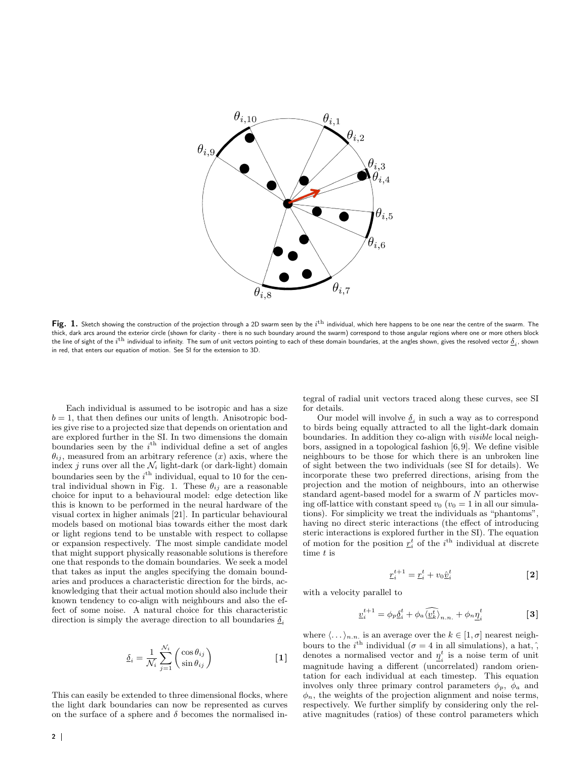

Fig. 1. Sketch showing the construction of the projection through a 2D swarm seen by the  $i^{\text{th}}$  individual, which here happens to be one near the centre of the swarm. The thick, dark arcs around the exterior circle (shown for clarity - there is no such boundary around the swarm) correspond to those angular regions where one or more others block the line of sight of the  $i^{\text{th}}$  individual to infinity. The sum of unit vectors pointing to each of these domain boundaries, at the angles shown, gives the resolved vector  $\underline{\delta}_i$ , shown in red, that enters our equation of motion. See SI for the extension to 3D.

Each individual is assumed to be isotropic and has a size  $b = 1$ , that then defines our units of length. Anisotropic bodies give rise to a projected size that depends on orientation and are explored further in the SI. In two dimensions the domain boundaries seen by the  $i^{\text{th}}$  individual define a set of angles  $\theta_{ij}$ , measured from an arbitrary reference  $(x)$  axis, where the index j runs over all the  $\mathcal{N}_i$  light-dark (or dark-light) domain boundaries seen by the  $i<sup>th</sup>$  individual, equal to 10 for the central individual shown in Fig. 1. These  $\theta_{ij}$  are a reasonable choice for input to a behavioural model: edge detection like this is known to be performed in the neural hardware of the visual cortex in higher animals [21]. In particular behavioural models based on motional bias towards either the most dark or light regions tend to be unstable with respect to collapse or expansion respectively. The most simple candidate model that might support physically reasonable solutions is therefore one that responds to the domain boundaries. We seek a model that takes as input the angles specifying the domain boundaries and produces a characteristic direction for the birds, acknowledging that their actual motion should also include their known tendency to co-align with neighbours and also the effect of some noise. A natural choice for this characteristic direction is simply the average direction to all boundaries  $\delta_i$ 

$$
\underline{\delta}_{i} = \frac{1}{\mathcal{N}_{i}} \sum_{j=1}^{\mathcal{N}_{i}} \begin{pmatrix} \cos \theta_{ij} \\ \sin \theta_{ij} \end{pmatrix}
$$
 [1]

This can easily be extended to three dimensional flocks, where the light dark boundaries can now be represented as curves on the surface of a sphere and  $\delta$  becomes the normalised in-

 $2|$ 

tegral of radial unit vectors traced along these curves, see SI for details.

Our model will involve  $\underline{\delta}_i$  in such a way as to correspond to birds being equally attracted to all the light-dark domain boundaries. In addition they co-align with visible local neighbors, assigned in a topological fashion [6, 9]. We define visible neighbours to be those for which there is an unbroken line of sight between the two individuals (see SI for details). We incorporate these two preferred directions, arising from the projection and the motion of neighbours, into an otherwise standard agent-based model for a swarm of N particles moving off-lattice with constant speed  $v_0$  ( $v_0 = 1$  in all our simulations). For simplicity we treat the individuals as "phantoms", having no direct steric interactions (the effect of introducing steric interactions is explored further in the SI). The equation of motion for the position  $r_i^t$  of the i<sup>th</sup> individual at discrete time  $t$  is

$$
\underline{r}_i^{t+1} = \underline{r}_i^t + v_0 \underline{\hat{v}}_i^t \tag{2}
$$

with a velocity parallel to

$$
\underline{v}_i^{t+1} = \phi_p \underline{\delta}_i^t + \phi_a \widehat{\langle \underline{v}_k^t \rangle}_{n.n.} + \phi_n \underline{\eta}_i^t \tag{3}
$$

where  $\langle \ldots \rangle_{n,n}$  is an average over the  $k \in [1, \sigma]$  nearest neighbours to the *i*<sup>th</sup> individual ( $\sigma = 4$  in all simulations), a hat,  $\hat{h}$ , denotes a normalised vector and  $\underline{\eta}_i^t$  is a noise term of unit magnitude having a different (uncorrelated) random orientation for each individual at each timestep. This equation involves only three primary control parameters  $\phi_p$ ,  $\phi_a$  and  $\phi_n$ , the weights of the projection alignment and noise terms, respectively. We further simplify by considering only the relative magnitudes (ratios) of these control parameters which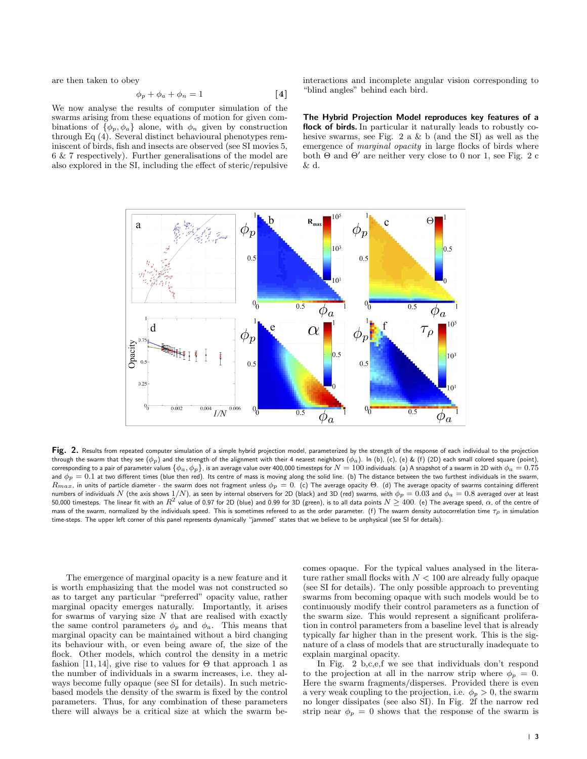are then taken to obey

$$
\phi_p + \phi_a + \phi_n = 1 \tag{4}
$$

We now analyse the results of computer simulation of the swarms arising from these equations of motion for given combinations of  $\{\phi_p, \phi_a\}$  alone, with  $\phi_n$  given by construction through Eq (4). Several distinct behavioural phenotypes reminiscent of birds, fish and insects are observed (see SI movies 5, 6 & 7 respectively). Further generalisations of the model are also explored in the SI, including the effect of steric/repulsive interactions and incomplete angular vision corresponding to "blind angles" behind each bird.

The Hybrid Projection Model reproduces key features of a flock of birds. In particular it naturally leads to robustly cohesive swarms, see Fig. 2 a & b (and the SI) as well as the emergence of *marginal opacity* in large flocks of birds where both  $\Theta$  and  $\Theta'$  are neither very close to 0 nor 1, see Fig. 2 c & d.



Fig. 2. Results from repeated computer simulation of a simple hybrid projection model, parameterized by the strength of the response of each individual to the projection through the swarm that they see  $(\phi_p)$  and the strength of the alignment with their 4 nearest neighbors  $(\phi_a)$ . In (b), (c), (e) & (f) (2D) each small colored square (point), corresponding to a pair of parameter values  $\{\phi_a, \phi_p\}$ , is an average value over 400,000 timesteps for  $N = 100$  individuals. (a) A snapshot of a swarm in 2D with  $\phi_a = 0.75$ and  $\phi_p = 0.1$  at two different times (blue then red). Its centre of mass is moving along the solid line. (b) The distance between the two furthest individuals in the swarm,  $R_{max}$ , in units of particle diameter - the swarm does not fragment unless  $\phi_p = 0$ . (c) The average opacity  $\Theta$ . (d) The average opacity of swarms containing different numbers of individuals N (the axis shows  $1/N$ ), as seen by internal observers for 2D (black) and 3D (red) swarms, with  $\phi_p = 0.03$  and  $\phi_a = 0.8$  averaged over at least 50,000 timesteps. The linear fit with an  $R^2$  value of 0.97 for 2D (blue) and 0.99 for 3D (green), is to all data points  $N \geq 400$ . (e) The average speed,  $\alpha$ , of the centre of mass of the swarm, normalized by the individuals speed. This is sometimes refereed to as the order parameter. (f) The swarm density autocorrelation time  $\tau_{\rho}$  in simulation time-steps. The upper left corner of this panel represents dynamically "jammed" states that we believe to be unphysical (see SI for details).

The emergence of marginal opacity is a new feature and it is worth emphasizing that the model was not constructed so as to target any particular "preferred" opacity value, rather marginal opacity emerges naturally. Importantly, it arises for swarms of varying size  $N$  that are realised with exactly the same control parameters  $\phi_p$  and  $\phi_a$ . This means that marginal opacity can be maintained without a bird changing its behaviour with, or even being aware of, the size of the flock. Other models, which control the density in a metric fashion [11, 14], give rise to values for  $\Theta$  that approach 1 as the number of individuals in a swarm increases, i.e. they always become fully opaque (see SI for details). In such metricbased models the density of the swarm is fixed by the control parameters. Thus, for any combination of these parameters there will always be a critical size at which the swarm becomes opaque. For the typical values analysed in the literature rather small flocks with  $N < 100$  are already fully opaque (see SI for details). The only possible approach to preventing swarms from becoming opaque with such models would be to continuously modify their control parameters as a function of the swarm size. This would represent a significant proliferation in control parameters from a baseline level that is already typically far higher than in the present work. This is the signature of a class of models that are structurally inadequate to explain marginal opacity.

In Fig. 2 b,c,e,f we see that individuals don't respond to the projection at all in the narrow strip where  $\phi_p = 0$ . Here the swarm fragments/disperses. Provided there is even a very weak coupling to the projection, i.e.  $\phi_p > 0$ , the swarm no longer dissipates (see also SI). In Fig. 2f the narrow red strip near  $\phi_p = 0$  shows that the response of the swarm is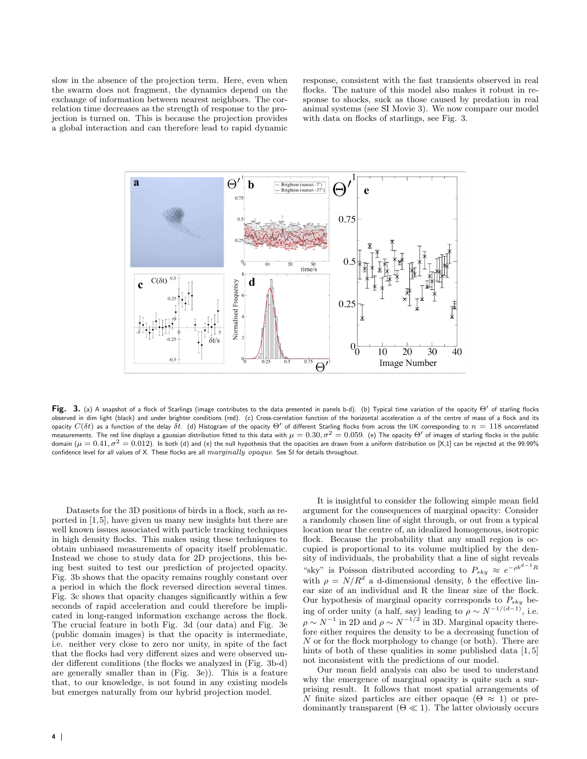slow in the absence of the projection term. Here, even when the swarm does not fragment, the dynamics depend on the exchange of information between nearest neighbors. The correlation time decreases as the strength of response to the projection is turned on. This is because the projection provides a global interaction and can therefore lead to rapid dynamic response, consistent with the fast transients observed in real flocks. The nature of this model also makes it robust in response to shocks, suck as those caused by predation in real animal systems (see SI Movie 3). We now compare our model with data on flocks of starlings, see Fig. 3.



Fig. 3. (a) A snapshot of a flock of Starlings (image contributes to the data presented in panels b-d). (b) Typical time variation of the opacity  $\Theta'$  of starling flocks observed in dim light (black) and under brighter conditions (red). (c) Cross-correlation function of the horizontal acceleration a of the centre of mass of a flock and its opacity  $C(\delta t)$  as a function of the delay  $\delta t$ . (d) Histogram of the opacity  $\Theta'$  of different Starling flocks from across the UK corresponding to  $n=118$  uncorrelated measurements. The red line displays a gaussian distribution fitted to this data with  $\mu=0.30, \sigma^2=0.059$ . (e) The opacity  $\Theta'$  of images of starling flocks in the public domain ( $\mu=0.41, \sigma^2=0.012$ ). In both (d) and (e) the null hypothesis that the opacities are drawn from a uniform distribution on [X,1] can be rejected at the 99.99% confidence level for all values of X. These flocks are all marginally opaque. See SI for details throughout.

Datasets for the 3D positions of birds in a flock, such as reported in [1,5], have given us many new insights but there are well known issues associated with particle tracking techniques in high density flocks. This makes using these techniques to obtain unbiased measurements of opacity itself problematic. Instead we chose to study data for 2D projections, this being best suited to test our prediction of projected opacity. Fig. 3b shows that the opacity remains roughly constant over a period in which the flock reversed direction several times. Fig. 3c shows that opacity changes significantly within a few seconds of rapid acceleration and could therefore be implicated in long-ranged information exchange across the flock. The crucial feature in both Fig. 3d (our data) and Fig. 3e (public domain images) is that the opacity is intermediate, i.e. neither very close to zero nor unity, in spite of the fact that the flocks had very different sizes and were observed under different conditions (the flocks we analyzed in (Fig. 3b-d) are generally smaller than in (Fig. 3e)). This is a feature that, to our knowledge, is not found in any existing models but emerges naturally from our hybrid projection model.

It is insightful to consider the following simple mean field argument for the consequences of marginal opacity: Consider a randomly chosen line of sight through, or out from a typical location near the centre of, an idealized homogenous, isotropic flock. Because the probability that any small region is occupied is proportional to its volume multiplied by the density of individuals, the probability that a line of sight reveals "sky" is Poisson distributed according to  $P_{sky} \approx e^{-\rho b^{d-1}R}$ with  $\rho = N/R^d$  a d-dimensional density, b the effective linear size of an individual and R the linear size of the flock. Our hypothesis of marginal opacity corresponds to  $P_{sky}$  being of order unity (a half, say) leading to  $\rho \sim N^{-1/(d-1)}$ , i.e.  $\rho \sim N^{-1}$  in 2D and  $\rho \sim N^{-1/2}$  in 3D. Marginal opacity therefore either requires the density to be a decreasing function of N or for the flock morphology to change (or both). There are hints of both of these qualities in some published data [1,5] not inconsistent with the predictions of our model.

Our mean field analysis can also be used to understand why the emergence of marginal opacity is quite such a surprising result. It follows that most spatial arrangements of N finite sized particles are either opaque ( $\Theta \approx 1$ ) or predominantly transparent  $(\Theta \ll 1)$ . The latter obviously occurs